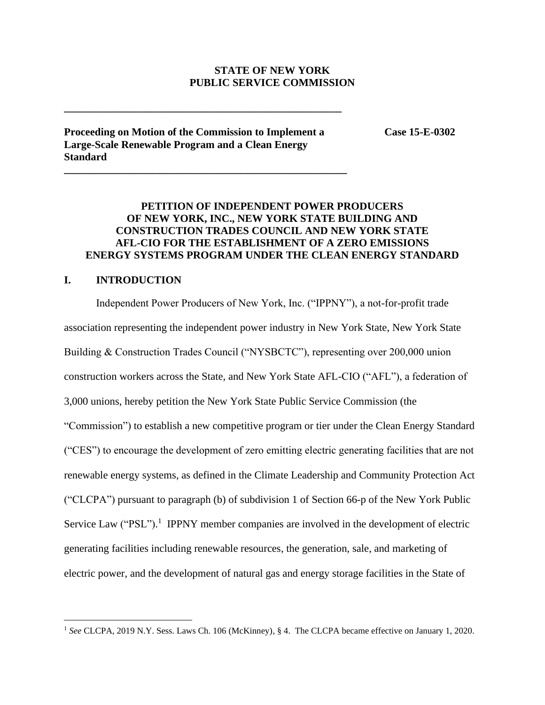### **STATE OF NEW YORK PUBLIC SERVICE COMMISSION**

**Proceeding on Motion of the Commission to Implement a Case 15-E-0302 Large-Scale Renewable Program and a Clean Energy Standard** 

**\_\_\_\_\_\_\_\_\_\_\_\_\_\_\_\_\_\_\_\_\_\_\_\_\_\_\_\_\_\_\_\_\_\_\_\_\_\_\_\_\_\_\_\_\_\_\_\_\_\_\_\_**

**\_\_\_\_\_\_\_\_\_\_\_\_\_\_\_\_\_\_\_\_\_\_\_\_\_\_\_\_\_\_\_\_\_\_\_\_\_\_\_\_\_\_\_\_\_\_\_\_\_\_\_\_\_**

# **PETITION OF INDEPENDENT POWER PRODUCERS OF NEW YORK, INC., NEW YORK STATE BUILDING AND CONSTRUCTION TRADES COUNCIL AND NEW YORK STATE AFL-CIO FOR THE ESTABLISHMENT OF A ZERO EMISSIONS ENERGY SYSTEMS PROGRAM UNDER THE CLEAN ENERGY STANDARD**

## **I. INTRODUCTION**

Independent Power Producers of New York, Inc. ("IPPNY"), a not-for-profit trade association representing the independent power industry in New York State, New York State Building & Construction Trades Council ("NYSBCTC"), representing over 200,000 union construction workers across the State, and New York State AFL-CIO ("AFL"), a federation of 3,000 unions, hereby petition the New York State Public Service Commission (the "Commission") to establish a new competitive program or tier under the Clean Energy Standard ("CES") to encourage the development of zero emitting electric generating facilities that are not renewable energy systems, as defined in the Climate Leadership and Community Protection Act ("CLCPA") pursuant to paragraph (b) of subdivision 1 of Section 66-p of the New York Public Service Law ("PSL").<sup>1</sup> IPPNY member companies are involved in the development of electric generating facilities including renewable resources, the generation, sale, and marketing of electric power, and the development of natural gas and energy storage facilities in the State of

<sup>1</sup> *See* CLCPA, 2019 N.Y. Sess. Laws Ch. 106 (McKinney), § 4. The CLCPA became effective on January 1, 2020.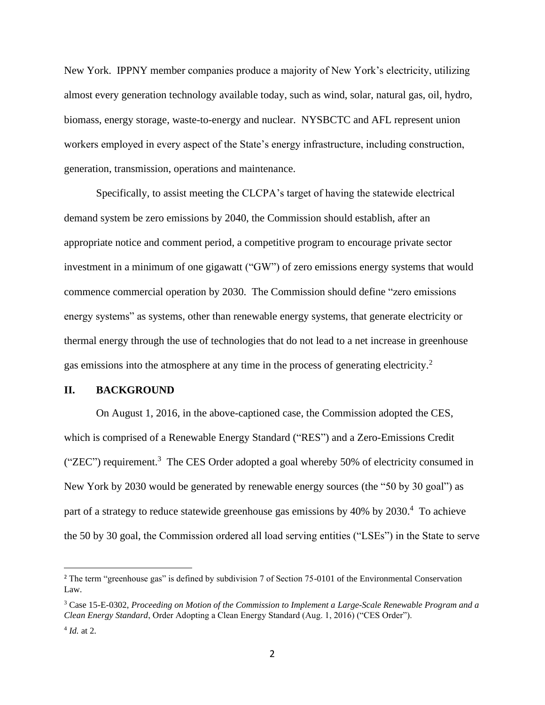New York. IPPNY member companies produce a majority of New York's electricity, utilizing almost every generation technology available today, such as wind, solar, natural gas, oil, hydro, biomass, energy storage, waste-to-energy and nuclear. NYSBCTC and AFL represent union workers employed in every aspect of the State's energy infrastructure, including construction, generation, transmission, operations and maintenance.

Specifically, to assist meeting the CLCPA's target of having the statewide electrical demand system be zero emissions by 2040, the Commission should establish, after an appropriate notice and comment period, a competitive program to encourage private sector investment in a minimum of one gigawatt ("GW") of zero emissions energy systems that would commence commercial operation by 2030. The Commission should define "zero emissions energy systems" as systems, other than renewable energy systems, that generate electricity or thermal energy through the use of technologies that do not lead to a net increase in greenhouse gas emissions into the atmosphere at any time in the process of generating electricity. 2

### **II. BACKGROUND**

On August 1, 2016, in the above-captioned case, the Commission adopted the CES, which is comprised of a Renewable Energy Standard ("RES") and a Zero-Emissions Credit (" $ZEC$ ") requirement.<sup>3</sup> The CES Order adopted a goal whereby 50% of electricity consumed in New York by 2030 would be generated by renewable energy sources (the "50 by 30 goal") as part of a strategy to reduce statewide greenhouse gas emissions by 40% by 2030.<sup>4</sup> To achieve the 50 by 30 goal, the Commission ordered all load serving entities ("LSEs") in the State to serve

<sup>&</sup>lt;sup>2</sup> The term "greenhouse gas" is defined by subdivision 7 of Section 75-0101 of the Environmental Conservation Law.

<sup>3</sup> Case 15-E-0302, *Proceeding on Motion of the Commission to Implement a Large-Scale Renewable Program and a Clean Energy Standard*, Order Adopting a Clean Energy Standard (Aug. 1, 2016) ("CES Order").

<sup>4</sup> *Id.* at 2.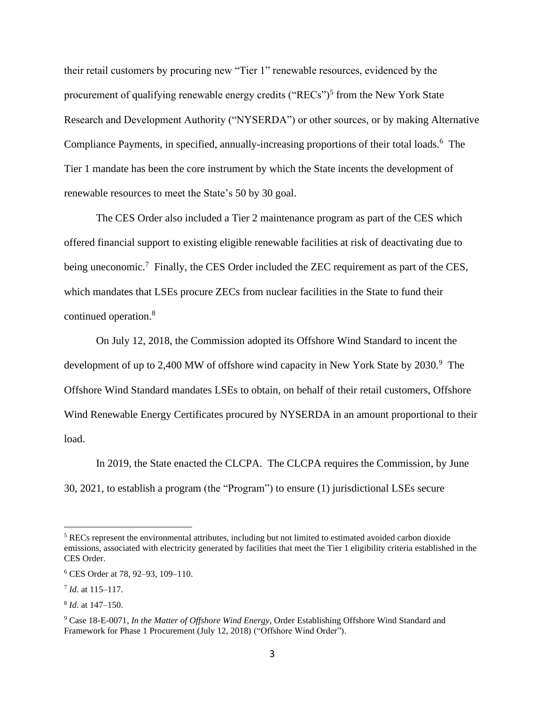their retail customers by procuring new "Tier 1" renewable resources, evidenced by the procurement of qualifying renewable energy credits ("RECs")<sup>5</sup> from the New York State Research and Development Authority ("NYSERDA") or other sources, or by making Alternative Compliance Payments, in specified, annually-increasing proportions of their total loads.<sup>6</sup> The Tier 1 mandate has been the core instrument by which the State incents the development of renewable resources to meet the State's 50 by 30 goal.

The CES Order also included a Tier 2 maintenance program as part of the CES which offered financial support to existing eligible renewable facilities at risk of deactivating due to being uneconomic.<sup>7</sup> Finally, the CES Order included the ZEC requirement as part of the CES, which mandates that LSEs procure ZECs from nuclear facilities in the State to fund their continued operation.<sup>8</sup>

On July 12, 2018, the Commission adopted its Offshore Wind Standard to incent the development of up to 2,400 MW of offshore wind capacity in New York State by 2030.<sup>9</sup> The Offshore Wind Standard mandates LSEs to obtain, on behalf of their retail customers, Offshore Wind Renewable Energy Certificates procured by NYSERDA in an amount proportional to their load.

In 2019, the State enacted the CLCPA. The CLCPA requires the Commission, by June 30, 2021, to establish a program (the "Program") to ensure (1) jurisdictional LSEs secure

<sup>&</sup>lt;sup>5</sup> RECs represent the environmental attributes, including but not limited to estimated avoided carbon dioxide emissions, associated with electricity generated by facilities that meet the Tier 1 eligibility criteria established in the CES Order.

<sup>6</sup> CES Order at 78, 92–93, 109–110.

<sup>7</sup> *Id.* at 115–117.

<sup>8</sup> *Id.* at 147–150.

<sup>9</sup> Case 18-E-0071, *In the Matter of Offshore Wind Energy*, Order Establishing Offshore Wind Standard and Framework for Phase 1 Procurement (July 12, 2018) ("Offshore Wind Order").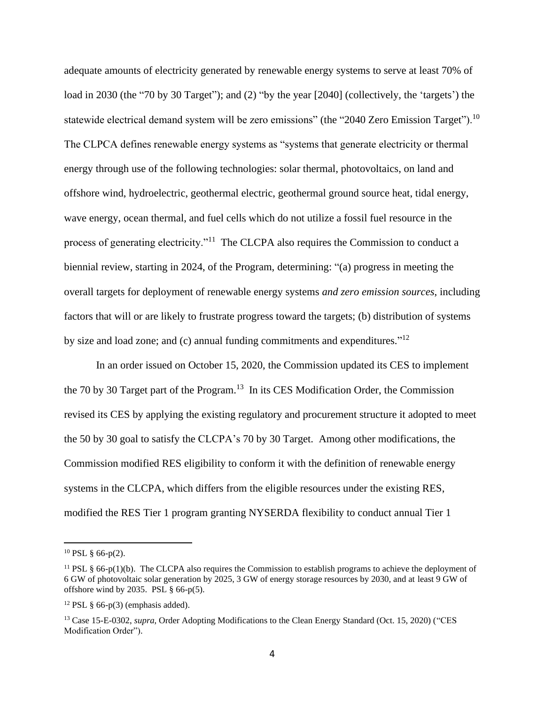adequate amounts of electricity generated by renewable energy systems to serve at least 70% of load in 2030 (the "70 by 30 Target"); and (2) "by the year [2040] (collectively, the 'targets') the statewide electrical demand system will be zero emissions" (the "2040 Zero Emission Target").<sup>10</sup> The CLPCA defines renewable energy systems as "systems that generate electricity or thermal energy through use of the following technologies: solar thermal, photovoltaics, on land and offshore wind, hydroelectric, geothermal electric, geothermal ground source heat, tidal energy, wave energy, ocean thermal, and fuel cells which do not utilize a fossil fuel resource in the process of generating electricity."<sup>11</sup> The CLCPA also requires the Commission to conduct a biennial review, starting in 2024, of the Program, determining: "(a) progress in meeting the overall targets for deployment of renewable energy systems *and zero emission sources*, including factors that will or are likely to frustrate progress toward the targets; (b) distribution of systems by size and load zone; and (c) annual funding commitments and expenditures."<sup>12</sup>

In an order issued on October 15, 2020, the Commission updated its CES to implement the 70 by 30 Target part of the Program.<sup>13</sup> In its CES Modification Order, the Commission revised its CES by applying the existing regulatory and procurement structure it adopted to meet the 50 by 30 goal to satisfy the CLCPA's 70 by 30 Target. Among other modifications, the Commission modified RES eligibility to conform it with the definition of renewable energy systems in the CLCPA, which differs from the eligible resources under the existing RES, modified the RES Tier 1 program granting NYSERDA flexibility to conduct annual Tier 1

 $10$  PSL § 66-p(2).

<sup>&</sup>lt;sup>11</sup> PSL § 66-p(1)(b). The CLCPA also requires the Commission to establish programs to achieve the deployment of 6 GW of photovoltaic solar generation by 2025, 3 GW of energy storage resources by 2030, and at least 9 GW of offshore wind by 2035. PSL  $\S$  66-p(5).

 $12$  PSL § 66-p(3) (emphasis added).

<sup>&</sup>lt;sup>13</sup> Case 15-E-0302, *supra*, Order Adopting Modifications to the Clean Energy Standard (Oct. 15, 2020) ("CES Modification Order").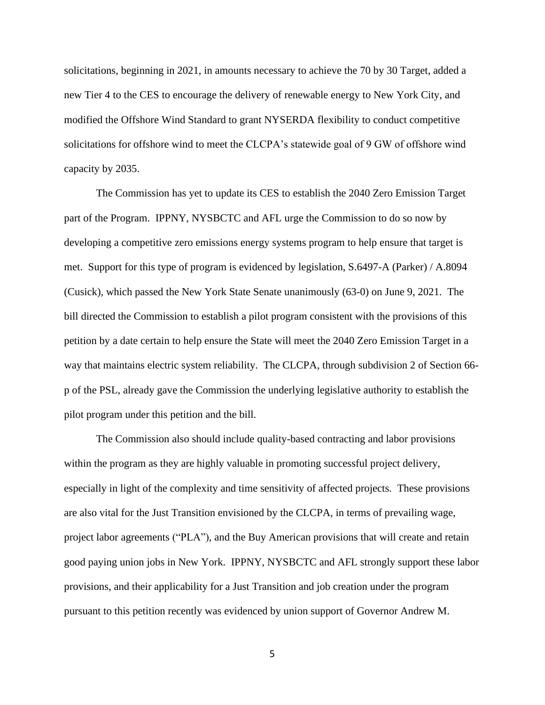solicitations, beginning in 2021, in amounts necessary to achieve the 70 by 30 Target, added a new Tier 4 to the CES to encourage the delivery of renewable energy to New York City, and modified the Offshore Wind Standard to grant NYSERDA flexibility to conduct competitive solicitations for offshore wind to meet the CLCPA's statewide goal of 9 GW of offshore wind capacity by 2035.

The Commission has yet to update its CES to establish the 2040 Zero Emission Target part of the Program. IPPNY, NYSBCTC and AFL urge the Commission to do so now by developing a competitive zero emissions energy systems program to help ensure that target is met. Support for this type of program is evidenced by legislation, S.6497-A (Parker) / A.8094 (Cusick), which passed the New York State Senate unanimously (63-0) on June 9, 2021. The bill directed the Commission to establish a pilot program consistent with the provisions of this petition by a date certain to help ensure the State will meet the 2040 Zero Emission Target in a way that maintains electric system reliability. The CLCPA, through subdivision 2 of Section 66 p of the PSL, already gave the Commission the underlying legislative authority to establish the pilot program under this petition and the bill.

The Commission also should include quality-based contracting and labor provisions within the program as they are highly valuable in promoting successful project delivery, especially in light of the complexity and time sensitivity of affected projects. These provisions are also vital for the Just Transition envisioned by the CLCPA, in terms of prevailing wage, project labor agreements ("PLA"), and the Buy American provisions that will create and retain good paying union jobs in New York. IPPNY, NYSBCTC and AFL strongly support these labor provisions, and their applicability for a Just Transition and job creation under the program pursuant to this petition recently was evidenced by union support of Governor Andrew M.

5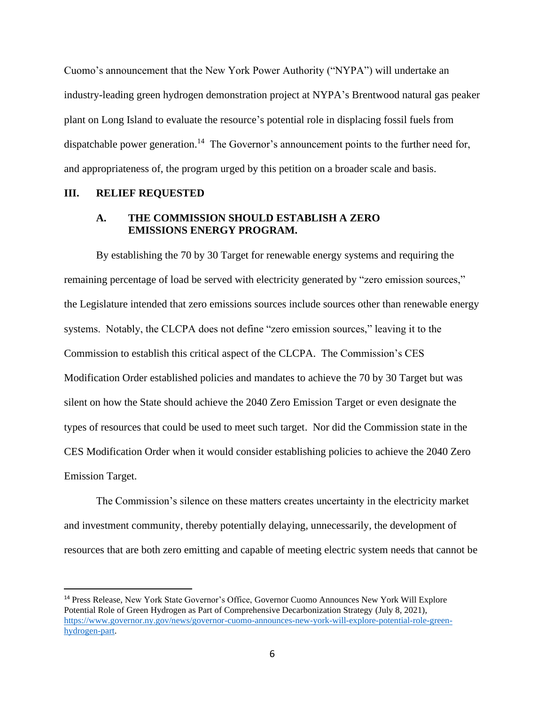Cuomo's announcement that the New York Power Authority ("NYPA") will undertake an industry-leading green hydrogen demonstration project at NYPA's Brentwood natural gas peaker plant on Long Island to evaluate the resource's potential role in displacing fossil fuels from dispatchable power generation.<sup>14</sup> The Governor's announcement points to the further need for, and appropriateness of, the program urged by this petition on a broader scale and basis.

#### **III. RELIEF REQUESTED**

## **A. THE COMMISSION SHOULD ESTABLISH A ZERO EMISSIONS ENERGY PROGRAM.**

By establishing the 70 by 30 Target for renewable energy systems and requiring the remaining percentage of load be served with electricity generated by "zero emission sources," the Legislature intended that zero emissions sources include sources other than renewable energy systems. Notably, the CLCPA does not define "zero emission sources," leaving it to the Commission to establish this critical aspect of the CLCPA. The Commission's CES Modification Order established policies and mandates to achieve the 70 by 30 Target but was silent on how the State should achieve the 2040 Zero Emission Target or even designate the types of resources that could be used to meet such target. Nor did the Commission state in the CES Modification Order when it would consider establishing policies to achieve the 2040 Zero Emission Target.

The Commission's silence on these matters creates uncertainty in the electricity market and investment community, thereby potentially delaying, unnecessarily, the development of resources that are both zero emitting and capable of meeting electric system needs that cannot be

<sup>14</sup> Press Release, New York State Governor's Office, Governor Cuomo Announces New York Will Explore Potential Role of Green Hydrogen as Part of Comprehensive Decarbonization Strategy (July 8, 2021), [https://www.governor.ny.gov/news/governor-cuomo-announces-new-york-will-explore-potential-role-green](https://www.governor.ny.gov/news/governor-cuomo-announces-new-york-will-explore-potential-role-green-hydrogen-part)[hydrogen-part.](https://www.governor.ny.gov/news/governor-cuomo-announces-new-york-will-explore-potential-role-green-hydrogen-part)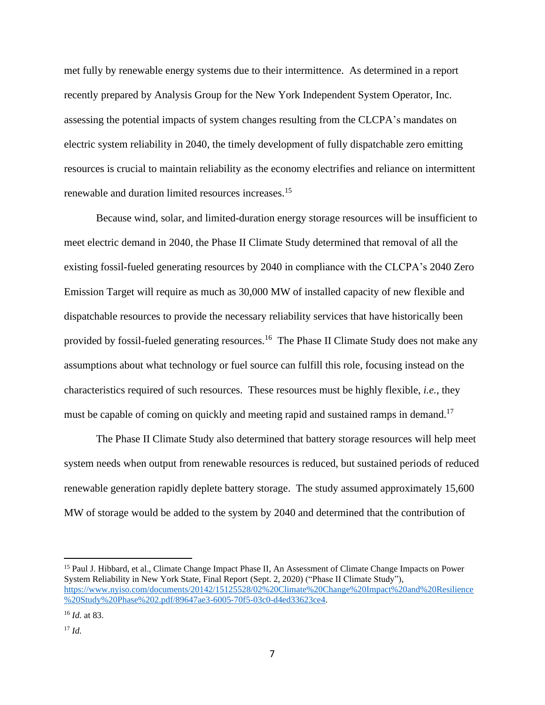met fully by renewable energy systems due to their intermittence. As determined in a report recently prepared by Analysis Group for the New York Independent System Operator, Inc. assessing the potential impacts of system changes resulting from the CLCPA's mandates on electric system reliability in 2040, the timely development of fully dispatchable zero emitting resources is crucial to maintain reliability as the economy electrifies and reliance on intermittent renewable and duration limited resources increases.<sup>15</sup>

Because wind, solar, and limited-duration energy storage resources will be insufficient to meet electric demand in 2040, the Phase II Climate Study determined that removal of all the existing fossil-fueled generating resources by 2040 in compliance with the CLCPA's 2040 Zero Emission Target will require as much as 30,000 MW of installed capacity of new flexible and dispatchable resources to provide the necessary reliability services that have historically been provided by fossil-fueled generating resources.<sup>16</sup> The Phase II Climate Study does not make any assumptions about what technology or fuel source can fulfill this role, focusing instead on the characteristics required of such resources. These resources must be highly flexible, *i.e.*, they must be capable of coming on quickly and meeting rapid and sustained ramps in demand.<sup>17</sup>

The Phase II Climate Study also determined that battery storage resources will help meet system needs when output from renewable resources is reduced, but sustained periods of reduced renewable generation rapidly deplete battery storage. The study assumed approximately 15,600 MW of storage would be added to the system by 2040 and determined that the contribution of

<sup>&</sup>lt;sup>15</sup> Paul J. Hibbard, et al., Climate Change Impact Phase II, An Assessment of Climate Change Impacts on Power System Reliability in New York State, Final Report (Sept. 2, 2020) ("Phase II Climate Study"), [https://www.nyiso.com/documents/20142/15125528/02%20Climate%20Change%20Impact%20and%20Resilience](https://www.nyiso.com/documents/20142/15125528/02%20Climate%20Change%20Impact%20and%20Resilience%20Study%20Phase%202.pdf/89647ae3-6005-70f5-03c0-d4ed33623ce4) [%20Study%20Phase%202.pdf/89647ae3-6005-70f5-03c0-d4ed33623ce4.](https://www.nyiso.com/documents/20142/15125528/02%20Climate%20Change%20Impact%20and%20Resilience%20Study%20Phase%202.pdf/89647ae3-6005-70f5-03c0-d4ed33623ce4)

<sup>16</sup> *Id.* at 83.

<sup>17</sup> *Id.*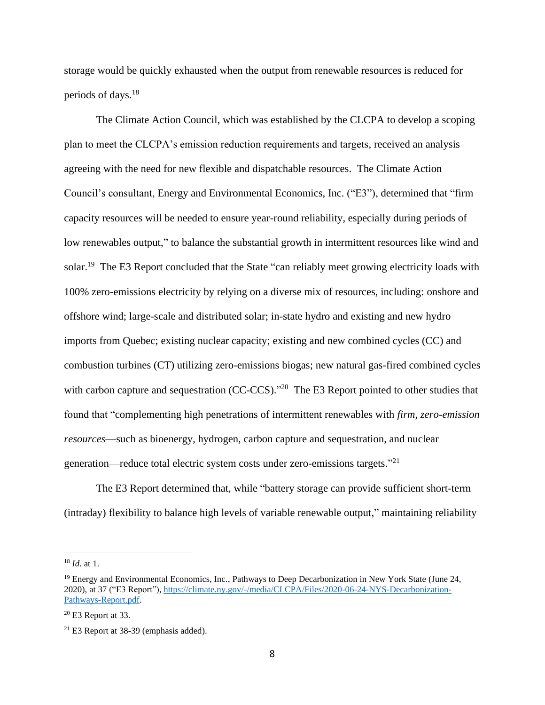storage would be quickly exhausted when the output from renewable resources is reduced for periods of days.<sup>18</sup>

The Climate Action Council, which was established by the CLCPA to develop a scoping plan to meet the CLCPA's emission reduction requirements and targets, received an analysis agreeing with the need for new flexible and dispatchable resources. The Climate Action Council's consultant, Energy and Environmental Economics, Inc. ("E3"), determined that "firm capacity resources will be needed to ensure year-round reliability, especially during periods of low renewables output," to balance the substantial growth in intermittent resources like wind and solar.<sup>19</sup> The E3 Report concluded that the State "can reliably meet growing electricity loads with 100% zero-emissions electricity by relying on a diverse mix of resources, including: onshore and offshore wind; large-scale and distributed solar; in-state hydro and existing and new hydro imports from Quebec; existing nuclear capacity; existing and new combined cycles (CC) and combustion turbines (CT) utilizing zero-emissions biogas; new natural gas-fired combined cycles with carbon capture and sequestration  $(CC-CCS)$ .<sup>20</sup> The E3 Report pointed to other studies that found that "complementing high penetrations of intermittent renewables with *firm, zero-emission resources*—such as bioenergy, hydrogen, carbon capture and sequestration, and nuclear generation—reduce total electric system costs under zero-emissions targets."<sup>21</sup>

The E3 Report determined that, while "battery storage can provide sufficient short-term (intraday) flexibility to balance high levels of variable renewable output," maintaining reliability

<sup>18</sup> *Id*. at 1.

<sup>&</sup>lt;sup>19</sup> Energy and Environmental Economics, Inc., Pathways to Deep Decarbonization in New York State (June 24, 2020), at 37 ("E3 Report"), [https://climate.ny.gov/-/media/CLCPA/Files/2020-06-24-NYS-Decarbonization-](https://climate.ny.gov/-/media/CLCPA/Files/2020-06-24-NYS-Decarbonization-Pathways-Report.pdf)[Pathways-Report.pdf.](https://climate.ny.gov/-/media/CLCPA/Files/2020-06-24-NYS-Decarbonization-Pathways-Report.pdf)

<sup>20</sup> E3 Report at 33.

<sup>21</sup> E3 Report at 38-39 (emphasis added).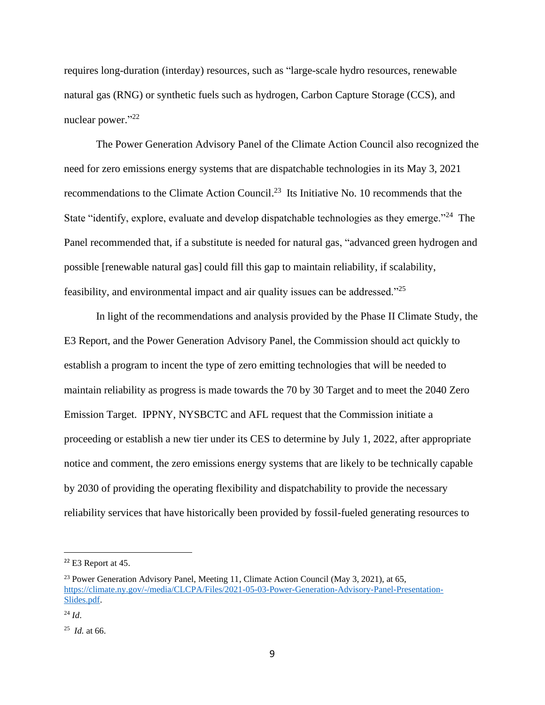requires long-duration (interday) resources, such as "large-scale hydro resources, renewable natural gas (RNG) or synthetic fuels such as hydrogen, Carbon Capture Storage (CCS), and nuclear power."<sup>22</sup>

The Power Generation Advisory Panel of the Climate Action Council also recognized the need for zero emissions energy systems that are dispatchable technologies in its May 3, 2021 recommendations to the Climate Action Council.<sup>23</sup> Its Initiative No. 10 recommends that the State "identify, explore, evaluate and develop dispatchable technologies as they emerge."<sup>24</sup> The Panel recommended that, if a substitute is needed for natural gas, "advanced green hydrogen and possible [renewable natural gas] could fill this gap to maintain reliability, if scalability, feasibility, and environmental impact and air quality issues can be addressed."<sup>25</sup>

In light of the recommendations and analysis provided by the Phase II Climate Study, the E3 Report, and the Power Generation Advisory Panel, the Commission should act quickly to establish a program to incent the type of zero emitting technologies that will be needed to maintain reliability as progress is made towards the 70 by 30 Target and to meet the 2040 Zero Emission Target. IPPNY, NYSBCTC and AFL request that the Commission initiate a proceeding or establish a new tier under its CES to determine by July 1, 2022, after appropriate notice and comment, the zero emissions energy systems that are likely to be technically capable by 2030 of providing the operating flexibility and dispatchability to provide the necessary reliability services that have historically been provided by fossil-fueled generating resources to

 $22$  E3 Report at 45.

<sup>&</sup>lt;sup>23</sup> Power Generation Advisory Panel, Meeting 11, Climate Action Council (May 3, 2021), at 65, [https://climate.ny.gov/-/media/CLCPA/Files/2021-05-03-Power-Generation-Advisory-Panel-Presentation-](https://climate.ny.gov/-/media/CLCPA/Files/2021-05-03-Power-Generation-Advisory-Panel-Presentation-Slides.pdf)[Slides.pdf.](https://climate.ny.gov/-/media/CLCPA/Files/2021-05-03-Power-Generation-Advisory-Panel-Presentation-Slides.pdf)

<sup>24</sup> *Id*.

<sup>25</sup> *Id.* at 66.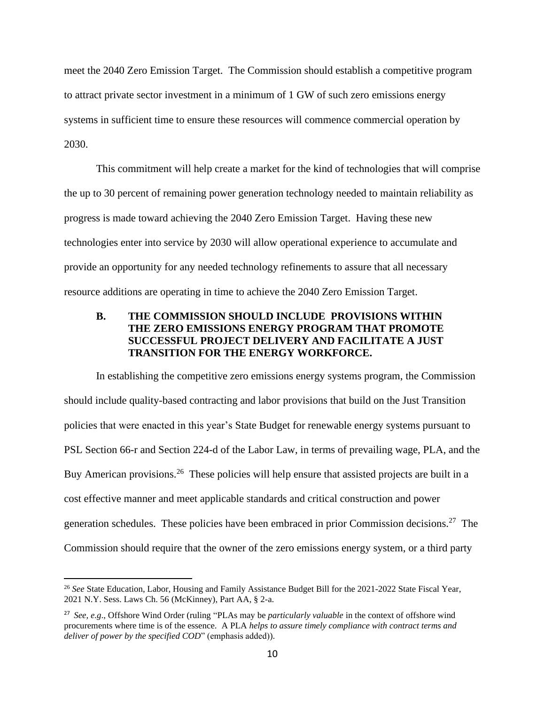meet the 2040 Zero Emission Target. The Commission should establish a competitive program to attract private sector investment in a minimum of 1 GW of such zero emissions energy systems in sufficient time to ensure these resources will commence commercial operation by 2030.

This commitment will help create a market for the kind of technologies that will comprise the up to 30 percent of remaining power generation technology needed to maintain reliability as progress is made toward achieving the 2040 Zero Emission Target. Having these new technologies enter into service by 2030 will allow operational experience to accumulate and provide an opportunity for any needed technology refinements to assure that all necessary resource additions are operating in time to achieve the 2040 Zero Emission Target.

## **B. THE COMMISSION SHOULD INCLUDE PROVISIONS WITHIN THE ZERO EMISSIONS ENERGY PROGRAM THAT PROMOTE SUCCESSFUL PROJECT DELIVERY AND FACILITATE A JUST TRANSITION FOR THE ENERGY WORKFORCE.**

In establishing the competitive zero emissions energy systems program, the Commission should include quality-based contracting and labor provisions that build on the Just Transition policies that were enacted in this year's State Budget for renewable energy systems pursuant to PSL Section 66-r and Section 224-d of the Labor Law, in terms of prevailing wage, PLA, and the Buy American provisions.<sup>26</sup> These policies will help ensure that assisted projects are built in a cost effective manner and meet applicable standards and critical construction and power generation schedules. These policies have been embraced in prior Commission decisions.<sup>27</sup> The Commission should require that the owner of the zero emissions energy system, or a third party

<sup>26</sup> *See* State Education, Labor, Housing and Family Assistance Budget Bill for the 2021-2022 State Fiscal Year, 2021 N.Y. Sess. Laws Ch. 56 (McKinney), Part AA, § 2-a.

<sup>27</sup> *See, e.g*., Offshore Wind Order (ruling "PLAs may be *particularly valuable* in the context of offshore wind procurements where time is of the essence. A PLA *helps to assure timely compliance with contract terms and deliver of power by the specified COD*" (emphasis added)).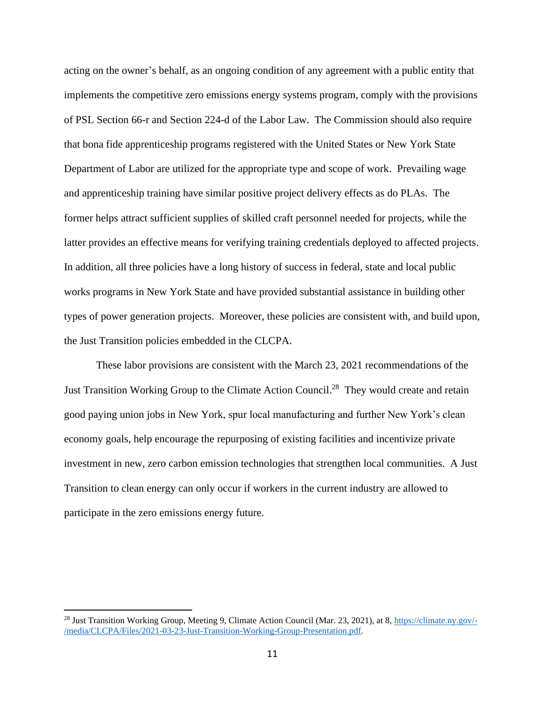acting on the owner's behalf, as an ongoing condition of any agreement with a public entity that implements the competitive zero emissions energy systems program, comply with the provisions of PSL Section 66-r and Section 224-d of the Labor Law. The Commission should also require that bona fide apprenticeship programs registered with the United States or New York State Department of Labor are utilized for the appropriate type and scope of work. Prevailing wage and apprenticeship training have similar positive project delivery effects as do PLAs. The former helps attract sufficient supplies of skilled craft personnel needed for projects, while the latter provides an effective means for verifying training credentials deployed to affected projects. In addition, all three policies have a long history of success in federal, state and local public works programs in New York State and have provided substantial assistance in building other types of power generation projects. Moreover, these policies are consistent with, and build upon, the Just Transition policies embedded in the CLCPA.

These labor provisions are consistent with the March 23, 2021 recommendations of the Just Transition Working Group to the Climate Action Council.<sup>28</sup> They would create and retain good paying union jobs in New York, spur local manufacturing and further New York's clean economy goals, help encourage the repurposing of existing facilities and incentivize private investment in new, zero carbon emission technologies that strengthen local communities. A Just Transition to clean energy can only occur if workers in the current industry are allowed to participate in the zero emissions energy future.

<sup>28</sup> Just Transition Working Group, Meeting 9, Climate Action Council (Mar. 23, 2021), at 8, [https://climate.ny.gov/-](https://climate.ny.gov/-/media/CLCPA/Files/2021-03-23-Just-Transition-Working-Group-Presentation.pdf) [/media/CLCPA/Files/2021-03-23-Just-Transition-Working-Group-Presentation.pdf.](https://climate.ny.gov/-/media/CLCPA/Files/2021-03-23-Just-Transition-Working-Group-Presentation.pdf)